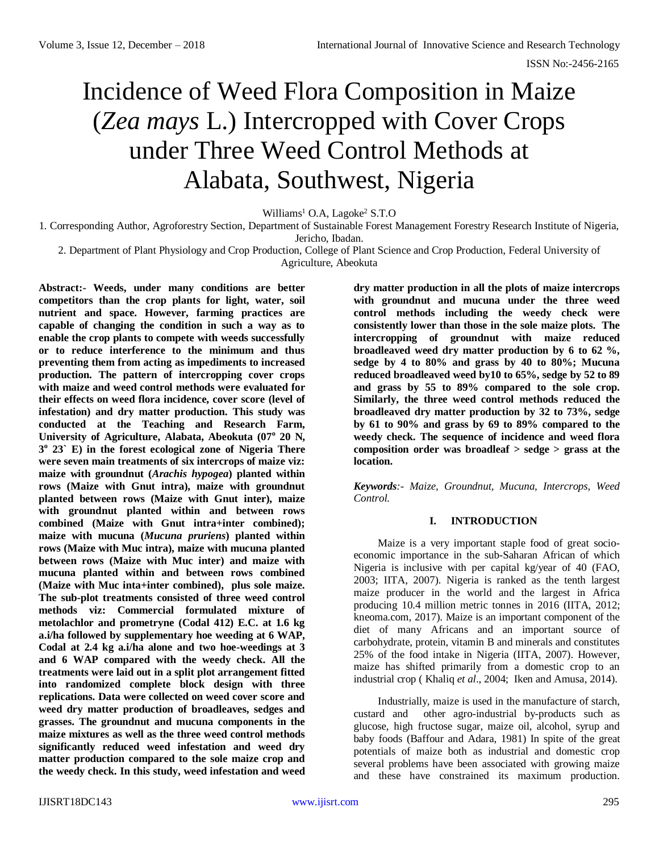# Incidence of Weed Flora Composition in Maize (*Zea mays* L.) Intercropped with Cover Crops under Three Weed Control Methods at Alabata, Southwest, Nigeria

Williams<sup>1</sup> O.A, Lagoke<sup>2</sup> S.T.O

1*.* Corresponding Author, Agroforestry Section, Department of Sustainable Forest Management Forestry Research Institute of Nigeria,

Jericho, Ibadan.

2. Department of Plant Physiology and Crop Production, College of Plant Science and Crop Production, Federal University of Agriculture, Abeokuta

**Abstract:- Weeds, under many conditions are better competitors than the crop plants for light, water, soil nutrient and space. However, farming practices are capable of changing the condition in such a way as to enable the crop plants to compete with weeds successfully or to reduce interference to the minimum and thus preventing them from acting as impediments to increased production. The pattern of intercropping cover crops with maize and weed control methods were evaluated for their effects on weed flora incidence, cover score (level of infestation) and dry matter production. This study was conducted at the Teaching and Research Farm, University of Agriculture, Alabata, Abeokuta (07<sup>o</sup> 20 N, 3 o 23` E) in the forest ecological zone of Nigeria There were seven main treatments of six intercrops of maize viz: maize with groundnut (***Arachis hypogea***) planted within rows (Maize with Gnut intra), maize with groundnut planted between rows (Maize with Gnut inter), maize with groundnut planted within and between rows combined (Maize with Gnut intra+inter combined); maize with mucuna (***Mucuna pruriens***) planted within rows (Maize with Muc intra), maize with mucuna planted between rows (Maize with Muc inter) and maize with mucuna planted within and between rows combined (Maize with Muc inta+inter combined), plus sole maize. The sub-plot treatments consisted of three weed control methods viz: Commercial formulated mixture of metolachlor and prometryne (Codal 412) E.C. at 1.6 kg a.i/ha followed by supplementary hoe weeding at 6 WAP, Codal at 2.4 kg a.i/ha alone and two hoe-weedings at 3 and 6 WAP compared with the weedy check. All the treatments were laid out in a split plot arrangement fitted into randomized complete block design with three replications. Data were collected on weed cover score and weed dry matter production of broadleaves, sedges and grasses. The groundnut and mucuna components in the maize mixtures as well as the three weed control methods significantly reduced weed infestation and weed dry matter production compared to the sole maize crop and the weedy check. In this study, weed infestation and weed** 

**dry matter production in all the plots of maize intercrops with groundnut and mucuna under the three weed control methods including the weedy check were consistently lower than those in the sole maize plots. The intercropping of groundnut with maize reduced broadleaved weed dry matter production by 6 to 62 %, sedge by 4 to 80% and grass by 40 to 80%; Mucuna reduced broadleaved weed by10 to 65%, sedge by 52 to 89 and grass by 55 to 89% compared to the sole crop. Similarly, the three weed control methods reduced the broadleaved dry matter production by 32 to 73%, sedge by 61 to 90% and grass by 69 to 89% compared to the weedy check. The sequence of incidence and weed flora composition order was broadleaf > sedge > grass at the location.** 

*Keywords:- Maize, Groundnut, Mucuna, Intercrops, Weed Control.*

#### **I. INTRODUCTION**

Maize is a very important staple food of great socioeconomic importance in the sub-Saharan African of which Nigeria is inclusive with per capital kg/year of 40 (FAO, 2003; IITA, 2007). Nigeria is ranked as the tenth largest maize producer in the world and the largest in Africa producing 10.4 million metric tonnes in 2016 (IITA, 2012; kneoma.com, 2017). Maize is an important component of the diet of many Africans and an important source of carbohydrate, protein, vitamin B and minerals and constitutes 25% of the food intake in Nigeria (IITA, 2007). However, maize has shifted primarily from a domestic crop to an industrial crop ( Khaliq *et al*., 2004; Iken and Amusa, 2014).

Industrially, maize is used in the manufacture of starch, custard and other agro-industrial by-products such as glucose, high fructose sugar, maize oil, alcohol, syrup and baby foods (Baffour and Adara, 1981) In spite of the great potentials of maize both as industrial and domestic crop several problems have been associated with growing maize and these have constrained its maximum production.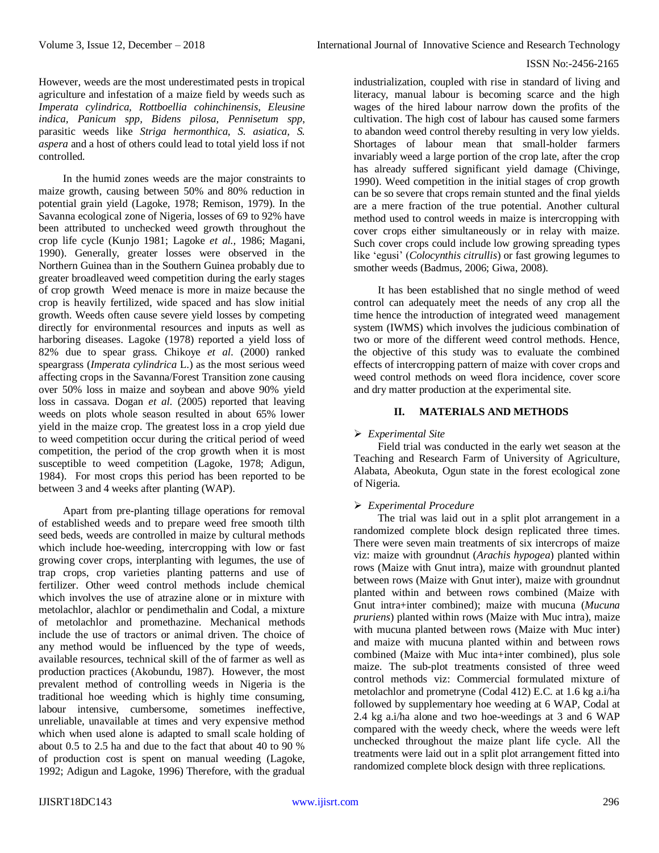However, weeds are the most underestimated pests in tropical agriculture and infestation of a maize field by weeds such as *Imperata cylindrica, Rottboellia cohinchinensis, Eleusine indica, Panicum spp, Bidens pilosa, Pennisetum spp*, parasitic weeds like *Striga hermonthica, S. asiatica, S. aspera* and a host of others could lead to total yield loss if not controlled.

In the humid zones weeds are the major constraints to maize growth, causing between 50% and 80% reduction in potential grain yield (Lagoke, 1978; Remison, 1979). In the Savanna ecological zone of Nigeria, losses of 69 to 92% have been attributed to unchecked weed growth throughout the crop life cycle (Kunjo 1981; Lagoke *et al.,* 1986; Magani, 1990). Generally, greater losses were observed in the Northern Guinea than in the Southern Guinea probably due to greater broadleaved weed competition during the early stages of crop growth Weed menace is more in maize because the crop is heavily fertilized, wide spaced and has slow initial growth. Weeds often cause severe yield losses by competing directly for environmental resources and inputs as well as harboring diseases. Lagoke (1978) reported a yield loss of 82% due to spear grass. Chikoye *et al*. (2000) ranked speargrass (*Imperata cylindrica* L.) as the most serious weed affecting crops in the Savanna/Forest Transition zone causing over 50% loss in maize and soybean and above 90% yield loss in cassava. Dogan *et al*. (2005) reported that leaving weeds on plots whole season resulted in about 65% lower yield in the maize crop. The greatest loss in a crop yield due to weed competition occur during the critical period of weed competition, the period of the crop growth when it is most susceptible to weed competition (Lagoke, 1978; Adigun, 1984). For most crops this period has been reported to be between 3 and 4 weeks after planting (WAP).

Apart from pre-planting tillage operations for removal of established weeds and to prepare weed free smooth tilth seed beds, weeds are controlled in maize by cultural methods which include hoe-weeding, intercropping with low or fast growing cover crops, interplanting with legumes, the use of trap crops, crop varieties planting patterns and use of fertilizer. Other weed control methods include chemical which involves the use of atrazine alone or in mixture with metolachlor, alachlor or pendimethalin and Codal, a mixture of metolachlor and promethazine. Mechanical methods include the use of tractors or animal driven. The choice of any method would be influenced by the type of weeds, available resources, technical skill of the of farmer as well as production practices (Akobundu, 1987). However, the most prevalent method of controlling weeds in Nigeria is the traditional hoe weeding which is highly time consuming, labour intensive, cumbersome, sometimes ineffective, unreliable, unavailable at times and very expensive method which when used alone is adapted to small scale holding of about 0.5 to 2.5 ha and due to the fact that about 40 to 90 % of production cost is spent on manual weeding (Lagoke, 1992; Adigun and Lagoke, 1996) Therefore, with the gradual

industrialization, coupled with rise in standard of living and literacy, manual labour is becoming scarce and the high wages of the hired labour narrow down the profits of the cultivation. The high cost of labour has caused some farmers to abandon weed control thereby resulting in very low yields. Shortages of labour mean that small-holder farmers invariably weed a large portion of the crop late, after the crop has already suffered significant yield damage (Chivinge, 1990). Weed competition in the initial stages of crop growth can be so severe that crops remain stunted and the final yields are a mere fraction of the true potential. Another cultural method used to control weeds in maize is intercropping with cover crops either simultaneously or in relay with maize. Such cover crops could include low growing spreading types like 'egusi' (*Colocynthis citrullis*) or fast growing legumes to smother weeds (Badmus, 2006; Giwa, 2008).

It has been established that no single method of weed control can adequately meet the needs of any crop all the time hence the introduction of integrated weed management system (IWMS) which involves the judicious combination of two or more of the different weed control methods. Hence, the objective of this study was to evaluate the combined effects of intercropping pattern of maize with cover crops and weed control methods on weed flora incidence, cover score and dry matter production at the experimental site.

# **II. MATERIALS AND METHODS**

# *Experimental Site*

Field trial was conducted in the early wet season at the Teaching and Research Farm of University of Agriculture, Alabata, Abeokuta, Ogun state in the forest ecological zone of Nigeria.

#### *Experimental Procedure*

The trial was laid out in a split plot arrangement in a randomized complete block design replicated three times. There were seven main treatments of six intercrops of maize viz: maize with groundnut (*Arachis hypogea*) planted within rows (Maize with Gnut intra), maize with groundnut planted between rows (Maize with Gnut inter), maize with groundnut planted within and between rows combined (Maize with Gnut intra+inter combined); maize with mucuna (*Mucuna pruriens*) planted within rows (Maize with Muc intra), maize with mucuna planted between rows (Maize with Muc inter) and maize with mucuna planted within and between rows combined (Maize with Muc inta+inter combined), plus sole maize. The sub-plot treatments consisted of three weed control methods viz: Commercial formulated mixture of metolachlor and prometryne (Codal 412) E.C. at 1.6 kg a.i/ha followed by supplementary hoe weeding at 6 WAP, Codal at 2.4 kg a.i/ha alone and two hoe-weedings at 3 and 6 WAP compared with the weedy check, where the weeds were left unchecked throughout the maize plant life cycle. All the treatments were laid out in a split plot arrangement fitted into randomized complete block design with three replications.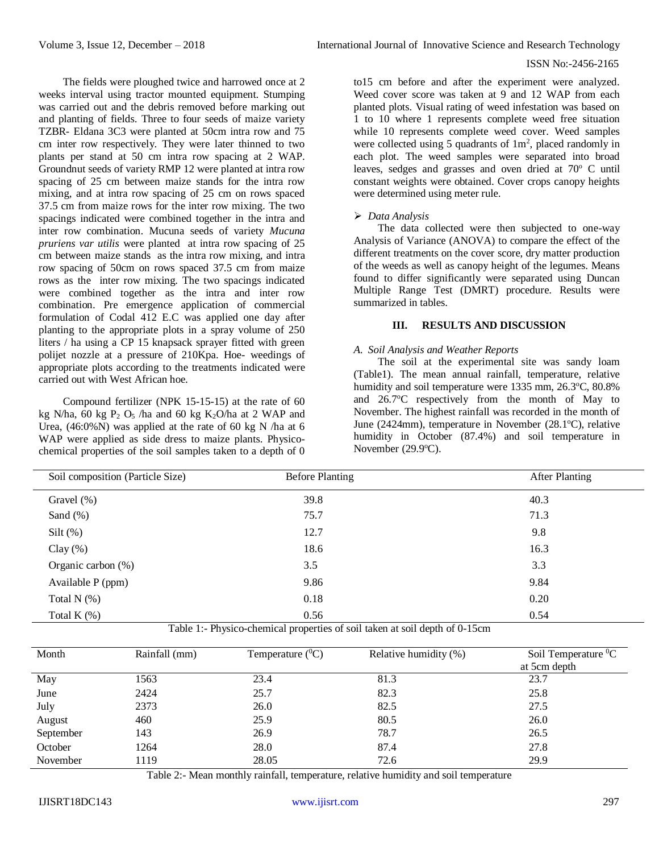The fields were ploughed twice and harrowed once at 2 weeks interval using tractor mounted equipment. Stumping was carried out and the debris removed before marking out and planting of fields. Three to four seeds of maize variety TZBR- Eldana 3C3 were planted at 50cm intra row and 75 cm inter row respectively. They were later thinned to two plants per stand at 50 cm intra row spacing at 2 WAP. Groundnut seeds of variety RMP 12 were planted at intra row spacing of 25 cm between maize stands for the intra row mixing, and at intra row spacing of 25 cm on rows spaced 37.5 cm from maize rows for the inter row mixing. The two spacings indicated were combined together in the intra and inter row combination. Mucuna seeds of variety *Mucuna pruriens var utilis* were planted at intra row spacing of 25 cm between maize stands as the intra row mixing, and intra row spacing of 50cm on rows spaced 37.5 cm from maize rows as the inter row mixing. The two spacings indicated were combined together as the intra and inter row combination. Pre emergence application of commercial formulation of Codal 412 E.C was applied one day after planting to the appropriate plots in a spray volume of 250 liters / ha using a CP 15 knapsack sprayer fitted with green polijet nozzle at a pressure of 210Kpa. Hoe- weedings of appropriate plots according to the treatments indicated were carried out with West African hoe.

Compound fertilizer (NPK 15-15-15) at the rate of 60 kg N/ha,  $60$  kg P<sub>2</sub> O<sub>5</sub> /ha and  $60$  kg K<sub>2</sub>O/ha at 2 WAP and Urea,  $(46.0\%$ N) was applied at the rate of 60 kg N /ha at 6 WAP were applied as side dress to maize plants. Physicochemical properties of the soil samples taken to a depth of 0 to15 cm before and after the experiment were analyzed. Weed cover score was taken at 9 and 12 WAP from each planted plots. Visual rating of weed infestation was based on 1 to 10 where 1 represents complete weed free situation while 10 represents complete weed cover. Weed samples were collected using 5 quadrants of  $1m^2$ , placed randomly in each plot. The weed samples were separated into broad leaves, sedges and grasses and oven dried at  $70^{\circ}$  C until constant weights were obtained. Cover crops canopy heights were determined using meter rule.

# *Data Analysis*

The data collected were then subjected to one-way Analysis of Variance (ANOVA) to compare the effect of the different treatments on the cover score, dry matter production of the weeds as well as canopy height of the legumes. Means found to differ significantly were separated using Duncan Multiple Range Test (DMRT) procedure. Results were summarized in tables.

# **III. RESULTS AND DISCUSSION**

#### *A. Soil Analysis and Weather Reports*

The soil at the experimental site was sandy loam (Table1). The mean annual rainfall, temperature, relative humidity and soil temperature were 1335 mm, 26.3°C, 80.8% and  $26.7^{\circ}$ C respectively from the month of May to November. The highest rainfall was recorded in the month of June (2424mm), temperature in November (28.1 $^{\circ}$ C), relative humidity in October (87.4%) and soil temperature in November  $(29.9^{\circ}C)$ .

| Soil composition (Particle Size) | <b>After Planting</b><br><b>Before Planting</b> |      |  |  |
|----------------------------------|-------------------------------------------------|------|--|--|
| Gravel $(\%)$                    | 39.8                                            | 40.3 |  |  |
| Sand $(\%)$                      | 75.7                                            | 71.3 |  |  |
| $Silt$ (%)                       | 12.7                                            | 9.8  |  |  |
| Clay $(\%)$                      | 18.6                                            | 16.3 |  |  |
| Organic carbon $(\%)$            | 3.5                                             | 3.3  |  |  |
| Available P (ppm)                | 9.86                                            | 9.84 |  |  |
| Total $N$ $(\%)$                 | 0.18                                            | 0.20 |  |  |
| Total K $(\%)$                   | 0.56                                            | 0.54 |  |  |

Table 1:- Physico-chemical properties of soil taken at soil depth of 0-15cm

| Month     | Rainfall (mm) | Temperature $(^0C)$ | Relative humidity (%) | Soil Temperature ${}^{0}C$<br>at 5cm depth |
|-----------|---------------|---------------------|-----------------------|--------------------------------------------|
| May       | 1563          | 23.4                | 81.3                  | 23.7                                       |
| June      | 2424          | 25.7                | 82.3                  | 25.8                                       |
| July      | 2373          | 26.0                | 82.5                  | 27.5                                       |
| August    | 460           | 25.9                | 80.5                  | 26.0                                       |
| September | 143           | 26.9                | 78.7                  | 26.5                                       |
| October   | 1264          | 28.0                | 87.4                  | 27.8                                       |
| November  | 1119          | 28.05               | 72.6                  | 29.9                                       |

Table 2:- Mean monthly rainfall, temperature, relative humidity and soil temperature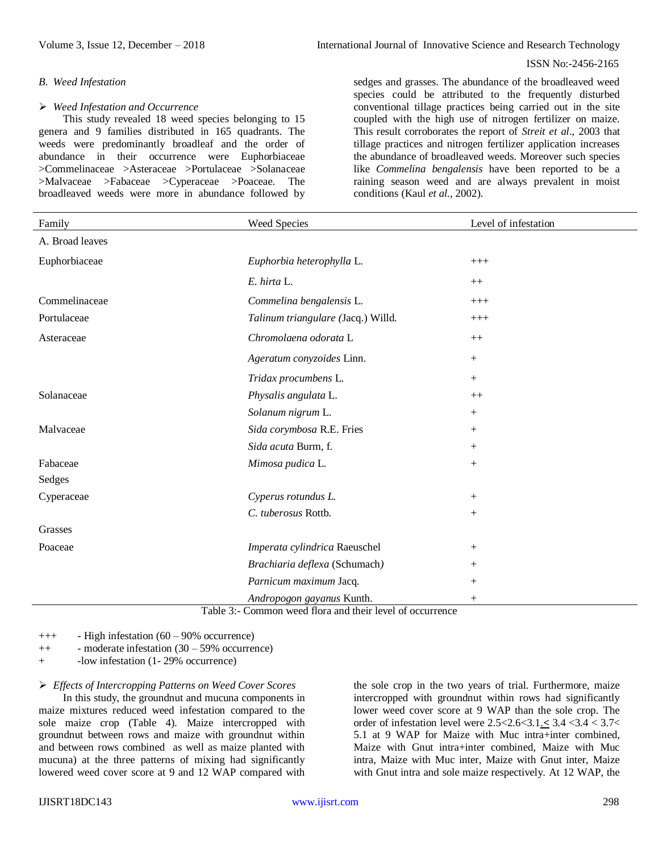# *B. Weed Infestation*

### *Weed Infestation and Occurrence*

This study revealed 18 weed species belonging to 15 genera and 9 families distributed in 165 quadrants. The weeds were predominantly broadleaf and the order of abundance in their occurrence were Euphorbiaceae >Commelinaceae >Asteraceae >Portulaceae >Solanaceae >Malvaceae >Fabaceae >Cyperaceae >Poaceae. The broadleaved weeds were more in abundance followed by

#### ISSN No:-2456-2165

sedges and grasses. The abundance of the broadleaved weed species could be attributed to the frequently disturbed conventional tillage practices being carried out in the site coupled with the high use of nitrogen fertilizer on maize. This result corroborates the report of *Streit et al*., 2003 that tillage practices and nitrogen fertilizer application increases the abundance of broadleaved weeds. Moreover such species like *Commelina bengalensis* have been reported to be a raining season weed and are always prevalent in moist conditions (Kaul *et al.*, 2002).

| Family          | Weed Species                                                                          | Level of infestation |
|-----------------|---------------------------------------------------------------------------------------|----------------------|
| A. Broad leaves |                                                                                       |                      |
| Euphorbiaceae   | Euphorbia heterophylla L.                                                             | $+++$                |
|                 | E. hirta L.                                                                           | $++$                 |
| Commelinaceae   | Commelina bengalensis L.                                                              | $+++$                |
| Portulaceae     | Talinum triangulare (Jacq.) Willd.                                                    | $+++$                |
| Asteraceae      | Chromolaena odorata L                                                                 | $++$                 |
|                 | Ageratum conyzoides Linn.                                                             | $+$                  |
|                 | Tridax procumbens L.                                                                  | $^{+}$               |
| Solanaceae      | Physalis angulata L.                                                                  | $++$                 |
|                 | Solanum nigrum L.                                                                     | $+$                  |
| Malvaceae       | Sida corymbosa R.E. Fries                                                             | $^{+}$               |
|                 | Sida acuta Burm, f.                                                                   | $^{+}$               |
| Fabaceae        | Mimosa pudica L.                                                                      | $\! + \!\!\!\!$      |
| Sedges          |                                                                                       |                      |
| Cyperaceae      | Cyperus rotundus L.                                                                   | $+$                  |
|                 | C. tuberosus Rottb.                                                                   | $+$                  |
| Grasses         |                                                                                       |                      |
| Poaceae         | Imperata cylindrica Raeuschel                                                         | $^{+}$               |
|                 | Brachiaria deflexa (Schumach)                                                         | $^{+}$               |
|                 | Parnicum maximum Jacq.                                                                | $^{+}$               |
|                 | Andropogon gayanus Kunth.<br>Table 3: Common weed flora and their level of occurrence | $^{+}$               |

Table 3:- Common weed flora and their level of occurrence

+++ - High infestation (60 – 90% occurrence)

- ++ moderate infestation (30 59% occurrence)
- + -low infestation (1- 29% occurrence)

*Effects of Intercropping Patterns on Weed Cover Scores*

In this study, the groundnut and mucuna components in maize mixtures reduced weed infestation compared to the sole maize crop (Table 4). Maize intercropped with groundnut between rows and maize with groundnut within and between rows combined as well as maize planted with mucuna) at the three patterns of mixing had significantly lowered weed cover score at 9 and 12 WAP compared with the sole crop in the two years of trial. Furthermore, maize intercropped with groundnut within rows had significantly lower weed cover score at 9 WAP than the sole crop. The order of infestation level were 2.5<2.6<3.1.**<** 3.4 <3.4 < 3.7< 5.1 at 9 WAP for Maize with Muc intra+inter combined, Maize with Gnut intra+inter combined, Maize with Muc intra, Maize with Muc inter, Maize with Gnut inter, Maize with Gnut intra and sole maize respectively. At 12 WAP, the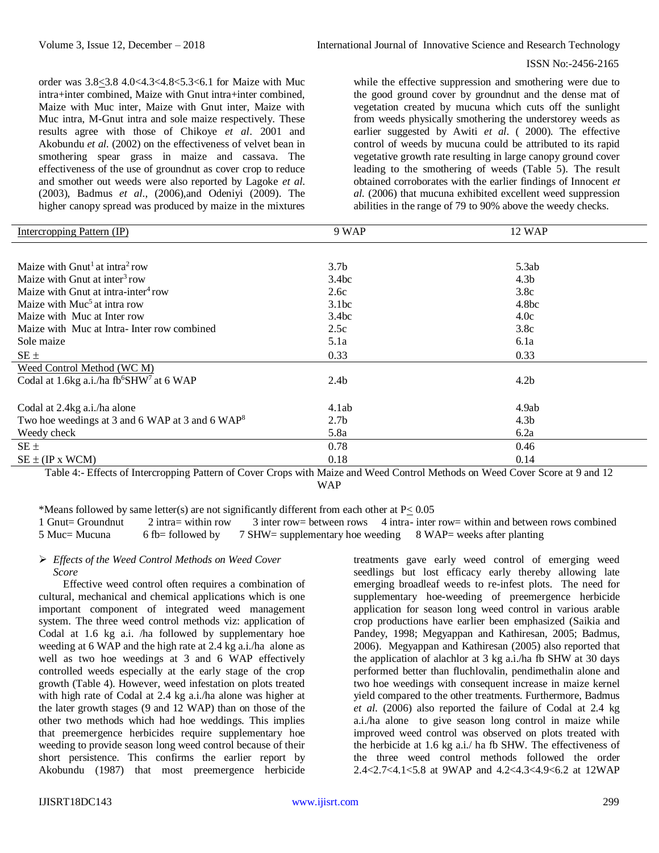order was 3.8<3.8 4.0<4.3<4.8<5.3<6.1 for Maize with Muc intra+inter combined, Maize with Gnut intra+inter combined, Maize with Muc inter, Maize with Gnut inter, Maize with Muc intra, M-Gnut intra and sole maize respectively. These results agree with those of Chikoye *et al*. 2001 and Akobundu *et al.* (2002) on the effectiveness of velvet bean in smothering spear grass in maize and cassava. The effectiveness of the use of groundnut as cover crop to reduce and smother out weeds were also reported by Lagoke *et al*. (2003), Badmus *et al*., (2006),and Odeniyi (2009). The higher canopy spread was produced by maize in the mixtures while the effective suppression and smothering were due to the good ground cover by groundnut and the dense mat of vegetation created by mucuna which cuts off the sunlight from weeds physically smothering the understorey weeds as earlier suggested by Awiti *et al*. ( 2000). The effective control of weeds by mucuna could be attributed to its rapid vegetative growth rate resulting in large canopy ground cover leading to the smothering of weeds (Table 5). The result obtained corroborates with the earlier findings of Innocent *et al.* (2006) that mucuna exhibited excellent weed suppression abilities in the range of 79 to 90% above the weedy checks.

| Intercropping Pattern (IP)                                       | 9 WAP            | 12 WAP            |
|------------------------------------------------------------------|------------------|-------------------|
|                                                                  |                  |                   |
| Maize with $Gnut1$ at intra <sup>2</sup> row                     | 3.7 <sub>b</sub> | 5.3ab             |
| Maize with Gnut at inter <sup>3</sup> row                        | 3.4bc            | 4.3 <sub>b</sub>  |
| Maize with Gnut at intra-inter <sup>4</sup> row                  | 2.6c             | 3.8c              |
| Maize with Muc <sup>5</sup> at intra row                         | 3.1bc            | 4.8 <sub>bc</sub> |
| Maize with Muc at Inter row                                      | 3.4bc            | 4.0c              |
| Maize with Muc at Intra-Inter row combined                       | 2.5c             | 3.8c              |
| Sole maize                                                       | 5.1a             | 6.1a              |
| $SE \pm$                                                         | 0.33             | 0.33              |
| Weed Control Method (WC M)                                       |                  |                   |
| Codal at 1.6kg a.i./ha fb <sup>6</sup> SHW <sup>7</sup> at 6 WAP | 2.4 <sub>b</sub> | 4.2 <sub>b</sub>  |
|                                                                  |                  |                   |
| Codal at 2.4kg a.i./ha alone                                     | 4.1ab            | 4.9ab             |
| Two hoe weedings at 3 and 6 WAP at 3 and 6 WAP <sup>8</sup>      | 2.7 <sub>b</sub> | 4.3 <sub>b</sub>  |
| Weedy check                                                      | 5.8a             | 6.2a              |
| $SE \pm$                                                         | 0.78             | 0.46              |
| $SE \pm (IP x WCM)$                                              | 0.18             | 0.14              |

Table 4:- Effects of Intercropping Pattern of Cover Crops with Maize and Weed Control Methods on Weed Cover Score at 9 and 12 WAP

\*Means followed by same letter(s) are not significantly different from each other at  $P \le 0.05$ 

1 Gnut= Groundnut 2 intra= within row 3 inter row= between rows 4 intra- inter row= within and between rows combined 5 Muc= Mucuna 6 fb= followed by 7 SHW= supplementary hoe weeding 8 WAP= weeks after planting

#### *Effects of the Weed Control Methods on Weed Cover Score*

Effective weed control often requires a combination of cultural, mechanical and chemical applications which is one important component of integrated weed management system. The three weed control methods viz: application of Codal at 1.6 kg a.i. /ha followed by supplementary hoe weeding at 6 WAP and the high rate at 2.4 kg a.i./ha alone as well as two hoe weedings at 3 and 6 WAP effectively controlled weeds especially at the early stage of the crop growth (Table 4). However, weed infestation on plots treated with high rate of Codal at 2.4 kg a.i./ha alone was higher at the later growth stages (9 and 12 WAP) than on those of the other two methods which had hoe weddings. This implies that preemergence herbicides require supplementary hoe weeding to provide season long weed control because of their short persistence. This confirms the earlier report by Akobundu (1987) that most preemergence herbicide treatments gave early weed control of emerging weed seedlings but lost efficacy early thereby allowing late emerging broadleaf weeds to re-infest plots. The need for supplementary hoe-weeding of preemergence herbicide application for season long weed control in various arable crop productions have earlier been emphasized (Saikia and Pandey, 1998; Megyappan and Kathiresan, 2005; Badmus, 2006). Megyappan and Kathiresan (2005) also reported that the application of alachlor at 3 kg a.i./ha fb SHW at 30 days performed better than fluchlovalin, pendimethalin alone and two hoe weedings with consequent increase in maize kernel yield compared to the other treatments. Furthermore, Badmus *et al*. (2006) also reported the failure of Codal at 2.4 kg a.i./ha alone to give season long control in maize while improved weed control was observed on plots treated with the herbicide at 1.6 kg a.i./ ha fb SHW. The effectiveness of the three weed control methods followed the order 2.4<2.7<4.1<5.8 at 9WAP and 4.2<4.3<4.9<6.2 at 12WAP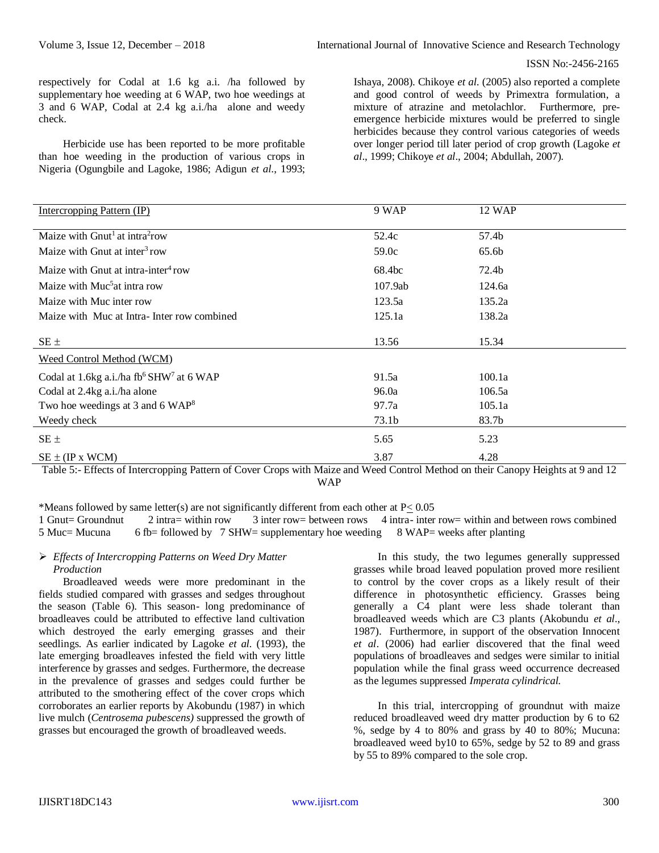respectively for Codal at 1.6 kg a.i. /ha followed by supplementary hoe weeding at 6 WAP, two hoe weedings at 3 and 6 WAP, Codal at 2.4 kg a.i./ha alone and weedy check.

Herbicide use has been reported to be more profitable than hoe weeding in the production of various crops in Nigeria (Ogungbile and Lagoke, 1986; Adigun *et al*., 1993; Ishaya, 2008). Chikoye *et al*. (2005) also reported a complete and good control of weeds by Primextra formulation, a mixture of atrazine and metolachlor. Furthermore, preemergence herbicide mixtures would be preferred to single herbicides because they control various categories of weeds over longer period till later period of crop growth (Lagoke *et al*., 1999; Chikoye *et al*., 2004; Abdullah, 2007).

| Intercropping Pattern (IP)                                       | 9 WAP   | 12 WAP         |             |
|------------------------------------------------------------------|---------|----------------|-------------|
|                                                                  |         |                |             |
| Maize with $Gnu1$ at intra <sup>2</sup> row                      | 52.4c   | 57.4b          |             |
| Maize with Gnut at inter <sup>3</sup> row                        | 59.0c   | 65.6b          |             |
| Maize with Gnut at intra-inter <sup>4</sup> row                  | 68.4bc  | 72.4b          |             |
| Maize with Muc <sup>5</sup> at intra row                         | 107.9ab | 124.6a         |             |
| Maize with Muc inter row                                         | 123.5a  | 135.2a         |             |
| Maize with Muc at Intra-Inter row combined                       | 125.1a  | 138.2a         |             |
| $SE \pm$                                                         | 13.56   | 15.34          |             |
| Weed Control Method (WCM)                                        |         |                |             |
| Codal at 1.6kg a.i./ha fb <sup>6</sup> SHW <sup>7</sup> at 6 WAP | 91.5a   | 100.1a         |             |
| Codal at 2.4kg a.i./ha alone                                     | 96.0a   | 106.5a         |             |
| Two hoe weedings at 3 and 6 WAP <sup>8</sup>                     | 97.7a   | 105.1a         |             |
| Weedy check                                                      | 73.1b   | 83.7b          |             |
| $SE \pm$                                                         | 5.65    | 5.23           |             |
| $SE \pm (IP x WCM)$<br>$\sim$<br>$\sim$<br>$\sim$<br>.           | 3.87    | 4.28<br>$-  -$ | $\sim$<br>. |

Table 5:- Effects of Intercropping Pattern of Cover Crops with Maize and Weed Control Method on their Canopy Heights at 9 and 12 WAP

\*Means followed by same letter(s) are not significantly different from each other at P< 0.05 1 Gnut= Groundnut 2 intra= within row 3 inter row= between rows 4 intra- inter row= within and between rows combined 5 Muc= Mucuna 6 fb= followed by 7 SHW= supplementary hoe weeding 8 WAP= weeks after planting

### *Effects of Intercropping Patterns on Weed Dry Matter Production*

Broadleaved weeds were more predominant in the fields studied compared with grasses and sedges throughout the season (Table 6). This season- long predominance of broadleaves could be attributed to effective land cultivation which destroyed the early emerging grasses and their seedlings. As earlier indicated by Lagoke *et al.* (1993), the late emerging broadleaves infested the field with very little interference by grasses and sedges. Furthermore, the decrease in the prevalence of grasses and sedges could further be attributed to the smothering effect of the cover crops which corroborates an earlier reports by Akobundu (1987) in which live mulch (*Centrosema pubescens)* suppressed the growth of grasses but encouraged the growth of broadleaved weeds.

In this study, the two legumes generally suppressed grasses while broad leaved population proved more resilient to control by the cover crops as a likely result of their difference in photosynthetic efficiency. Grasses being generally a C4 plant were less shade tolerant than broadleaved weeds which are C3 plants (Akobundu *et al*., 1987). Furthermore, in support of the observation Innocent *et al*. (2006) had earlier discovered that the final weed populations of broadleaves and sedges were similar to initial population while the final grass weed occurrence decreased as the legumes suppressed *Imperata cylindrical.*

In this trial, intercropping of groundnut with maize reduced broadleaved weed dry matter production by 6 to 62 %, sedge by 4 to 80% and grass by 40 to 80%; Mucuna: broadleaved weed by10 to 65%, sedge by 52 to 89 and grass by 55 to 89% compared to the sole crop.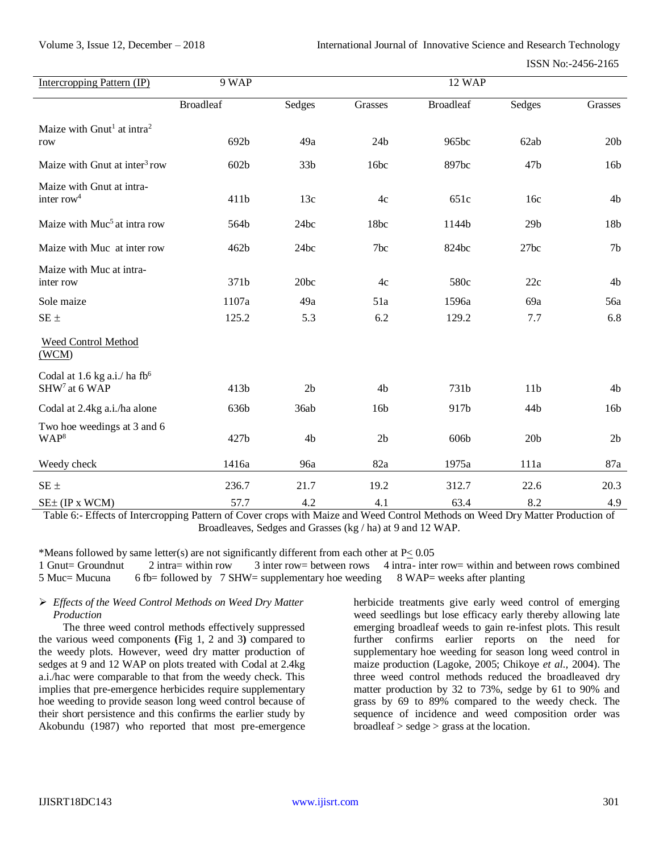| Intercropping Pattern (IP)                                         | 9 WAP            |                 | <b>12 WAP</b>   |                  |                 |                 |
|--------------------------------------------------------------------|------------------|-----------------|-----------------|------------------|-----------------|-----------------|
|                                                                    | <b>Broadleaf</b> | Sedges          | Grasses         | <b>Broadleaf</b> | Sedges          | Grasses         |
| Maize with Gnut <sup>1</sup> at intra <sup>2</sup><br>row          | 692b             | 49a             | 24 <sub>b</sub> | 965bc            | 62ab            | 20 <sub>b</sub> |
| Maize with Gnut at inter <sup>3</sup> row                          | 602b             | 33 <sub>b</sub> | 16bc            | 897bc            | 47 <sub>b</sub> | 16 <sub>b</sub> |
| Maize with Gnut at intra-<br>inter row <sup>4</sup>                | 411b             | 13c             | 4c              | 651c             | 16c             | 4b              |
| Maize with Muc <sup>5</sup> at intra row                           | 564b             | 24bc            | 18bc            | 1144b            | 29 <sub>b</sub> | 18b             |
| Maize with Muc at inter row                                        | 462b             | 24bc            | 7bc             | 824bc            | 27bc            | 7 <sub>b</sub>  |
| Maize with Muc at intra-<br>inter row                              | 371b             | 20bc            | 4c              | 580c             | 22c             | 4b              |
| Sole maize                                                         | 1107a            | 49a             | 51a             | 1596a            | 69a             | 56a             |
| $SE \pm$                                                           | 125.2            | 5.3             | 6.2             | 129.2            | 7.7             | 6.8             |
| Weed Control Method<br>(WCM)                                       |                  |                 |                 |                  |                 |                 |
| Codal at 1.6 kg a.i./ ha ${\rm fb}^6$<br>SHW <sup>7</sup> at 6 WAP | 413b             | 2 <sub>b</sub>  | 4b              | 731b             | 11 <sub>b</sub> | 4b              |
| Codal at 2.4kg a.i./ha alone                                       | 636b             | 36ab            | 16b             | 917b             | 44b             | 16 <sub>b</sub> |
| Two hoe weedings at 3 and 6<br>WAP <sup>8</sup>                    | 427b             | 4 <sub>b</sub>  | 2 <sub>b</sub>  | 606b             | 20 <sub>b</sub> | 2 <sub>b</sub>  |
| Weedy check                                                        | 1416a            | 96a             | 82a             | 1975a            | 111a            | 87a             |
| $SE \pm$                                                           | 236.7            | 21.7            | 19.2            | 312.7            | 22.6            | 20.3            |
| SE± (IP x WCM)                                                     | 57.7             | 4.2             | 4.1             | 63.4             | 8.2             | 4.9             |

Table 6:- Effects of Intercropping Pattern of Cover crops with Maize and Weed Control Methods on Weed Dry Matter Production of Broadleaves, Sedges and Grasses (kg / ha) at 9 and 12 WAP.

\*Means followed by same letter(s) are not significantly different from each other at P< 0.05

1 Gnut= Groundnut 2 intra= within row 3 inter row= between rows 4 intra- inter row= within and between rows combined 5 Muc= Mucuna 6 fb= followed by 7 SHW= supplementary hoe weeding 8 WAP= weeks after planting

# *Effects of the Weed Control Methods on Weed Dry Matter Production*

The three weed control methods effectively suppressed the various weed components **(**Fig 1, 2 and 3**)** compared to the weedy plots. However, weed dry matter production of sedges at 9 and 12 WAP on plots treated with Codal at 2.4kg a.i./hac were comparable to that from the weedy check. This implies that pre-emergence herbicides require supplementary hoe weeding to provide season long weed control because of their short persistence and this confirms the earlier study by Akobundu (1987) who reported that most pre-emergence herbicide treatments give early weed control of emerging weed seedlings but lose efficacy early thereby allowing late emerging broadleaf weeds to gain re-infest plots. This result further confirms earlier reports on the need for supplementary hoe weeding for season long weed control in maize production (Lagoke, 2005; Chikoye *et al.,* 2004). The three weed control methods reduced the broadleaved dry matter production by 32 to 73%, sedge by 61 to 90% and grass by 69 to 89% compared to the weedy check. The sequence of incidence and weed composition order was broadleaf > sedge > grass at the location.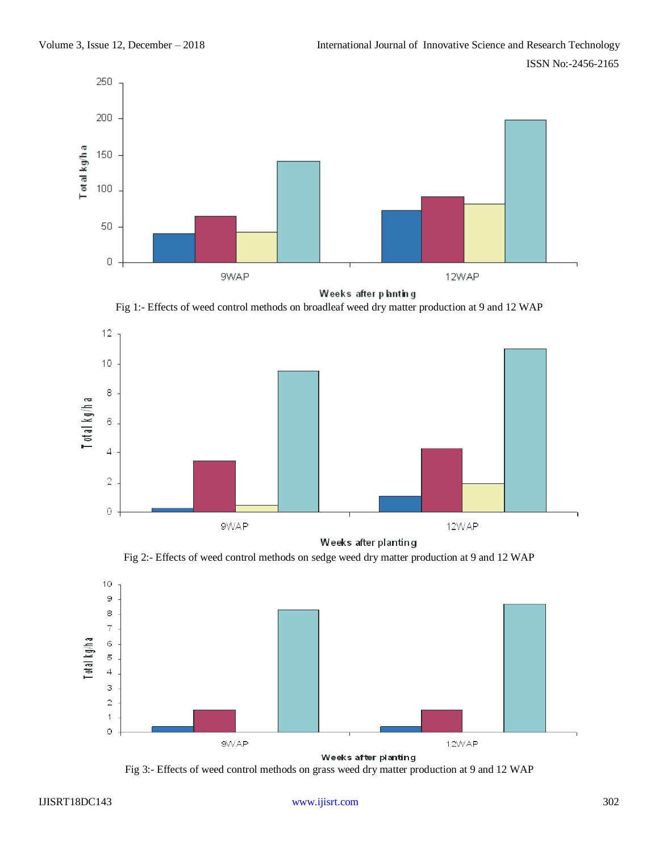



Fig 1:- Effects of weed control methods on broadleaf weed dry matter production at 9 and 12 WAP



Weeks after planting

Fig 2:- Effects of weed control methods on sedge weed dry matter production at 9 and 12 WAP



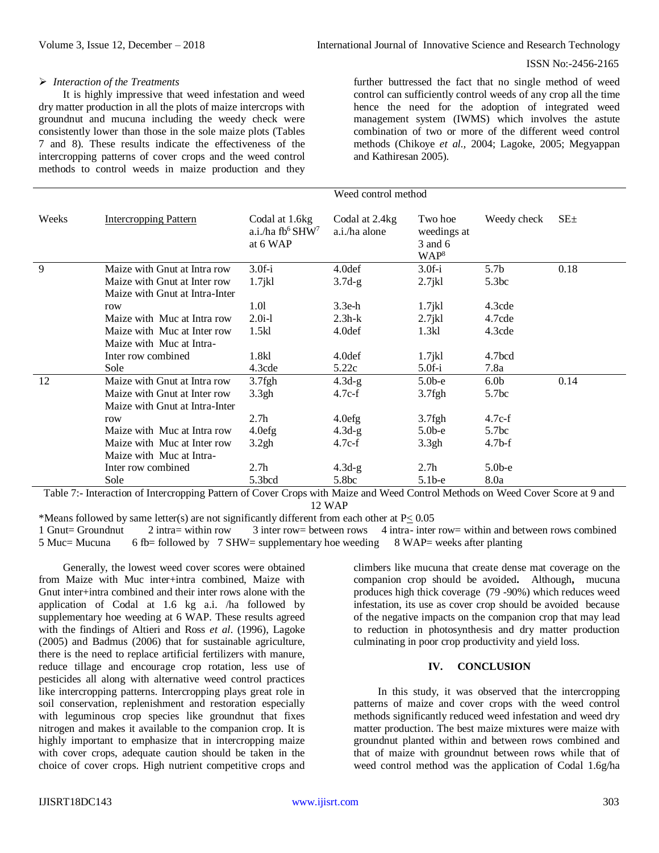#### *Interaction of the Treatments*

It is highly impressive that weed infestation and weed dry matter production in all the plots of maize intercrops with groundnut and mucuna including the weedy check were consistently lower than those in the sole maize plots (Tables 7 and 8). These results indicate the effectiveness of the intercropping patterns of cover crops and the weed control methods to control weeds in maize production and they

further buttressed the fact that no single method of weed control can sufficiently control weeds of any crop all the time hence the need for the adoption of integrated weed management system (IWMS) which involves the astute combination of two or more of the different weed control methods (Chikoye *et al.,* 2004; Lagoke, 2005; Megyappan and Kathiresan 2005).

|       |                                |                                                   | weeg control method             |                                                       |                   |            |
|-------|--------------------------------|---------------------------------------------------|---------------------------------|-------------------------------------------------------|-------------------|------------|
| Weeks | <b>Intercropping Pattern</b>   | Codal at 1.6 kg<br>a.i./ha $fb6 SHW7$<br>at 6 WAP | Codal at 2.4kg<br>a.i./ha alone | Two hoe<br>weedings at<br>3 and 6<br>WAP <sup>8</sup> | Weedy check       | $SE_{\pm}$ |
| 9     | Maize with Gnut at Intra row   | $3.0f-i$                                          | 4.0def                          | $3.0f-i$                                              | 5.7 <sub>b</sub>  | 0.18       |
|       | Maize with Gnut at Inter row   | $1.7$ j $kl$                                      | $3.7d-g$                        | $2.7$ jkl                                             | 5.3bc             |            |
|       | Maize with Gnut at Intra-Inter |                                                   |                                 |                                                       |                   |            |
|       | row                            | 1.01                                              | $3.3e-h$                        | $1.7$ jkl                                             | 4.3cde            |            |
|       | Maize with Muc at Intra row    | $2.0i-1$                                          | $2.3h-k$                        | $2.7$ jkl                                             | 4.7cde            |            |
|       | Maize with Muc at Inter row    | 1.5kl                                             | 4.0def                          | 1.3kl                                                 | 4.3cde            |            |
|       | Maize with Muc at Intra-       |                                                   |                                 |                                                       |                   |            |
|       | Inter row combined             | 1.8kl                                             | 4.0def                          | $1.7$ jkl                                             | 4.7bcd            |            |
|       | Sole                           | 4.3cde                                            | 5.22c                           | $5.0f-i$                                              | 7.8a              |            |
| 12    | Maize with Gnut at Intra row   | $3.7$ fgh                                         | $4.3d-g$                        | $5.0b-e$                                              | 6.0 <sub>b</sub>  | 0.14       |
|       | Maize with Gnut at Inter row   | 3.3gh                                             | $4.7c-f$                        | $3.7$ fgh                                             | 5.7 <sub>bc</sub> |            |
|       | Maize with Gnut at Intra-Inter |                                                   |                                 |                                                       |                   |            |
|       | row                            | 2.7 <sub>h</sub>                                  | 4.0 <sub>eff</sub>              | $3.7$ fgh                                             | $4.7c-f$          |            |
|       | Maize with Muc at Intra row    | 4.0 <sub>efg</sub>                                | $4.3d-g$                        | $5.0b-e$                                              | 5.7 <sub>bc</sub> |            |
|       | Maize with Muc at Inter row    | 3.2gh                                             | $4.7c-f$                        | 3.3gh                                                 | $4.7b-f$          |            |
|       | Maize with Muc at Intra-       |                                                   |                                 |                                                       |                   |            |
|       | Inter row combined             | 2.7 <sub>h</sub>                                  | $4.3d-g$                        | 2.7 <sub>h</sub>                                      | $5.0b-e$          |            |
|       | Sole                           | 5.3 <sub>bcd</sub>                                | 5.8bc                           | $5.1b-e$                                              | 8.0a              |            |

 $\mathbf{W}$  and  $\mathbf{W}$  are solved in the set of  $\mathbf{W}$ 

Table 7:- Interaction of Intercropping Pattern of Cover Crops with Maize and Weed Control Methods on Weed Cover Score at 9 and 12 WAP

\*Means followed by same letter(s) are not significantly different from each other at  $P \le 0.05$ <br>1 Gnut= Groundnut 2 intra= within row 3 inter row= between rows 4 intra- inter  $2$  intra= within row  $3$  inter row= between rows 4 intra- inter row= within and between rows combined 5 Muc= Mucuna 6 fb= followed by 7 SHW= supplementary hoe weeding 8 WAP= weeks after planting

Generally, the lowest weed cover scores were obtained from Maize with Muc inter+intra combined, Maize with Gnut inter+intra combined and their inter rows alone with the application of Codal at 1.6 kg a.i. /ha followed by supplementary hoe weeding at 6 WAP. These results agreed with the findings of Altieri and Ross *et al*. (1996), Lagoke (2005) and Badmus (2006) that for sustainable agriculture, there is the need to replace artificial fertilizers with manure, reduce tillage and encourage crop rotation, less use of pesticides all along with alternative weed control practices like intercropping patterns. Intercropping plays great role in soil conservation, replenishment and restoration especially with leguminous crop species like groundnut that fixes nitrogen and makes it available to the companion crop. It is highly important to emphasize that in intercropping maize with cover crops, adequate caution should be taken in the choice of cover crops. High nutrient competitive crops and climbers like mucuna that create dense mat coverage on the companion crop should be avoided**.** Although**,** mucuna produces high thick coverage (79 -90%) which reduces weed infestation, its use as cover crop should be avoided because of the negative impacts on the companion crop that may lead to reduction in photosynthesis and dry matter production culminating in poor crop productivity and yield loss.

# **IV. CONCLUSION**

In this study, it was observed that the intercropping patterns of maize and cover crops with the weed control methods significantly reduced weed infestation and weed dry matter production. The best maize mixtures were maize with groundnut planted within and between rows combined and that of maize with groundnut between rows while that of weed control method was the application of Codal 1.6g/ha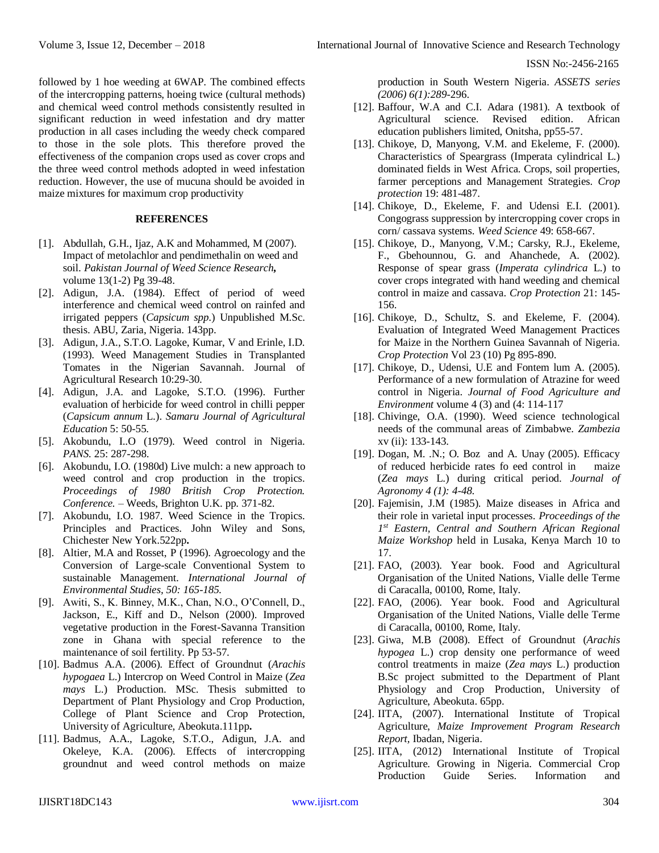followed by 1 hoe weeding at 6WAP. The combined effects of the intercropping patterns, hoeing twice (cultural methods) and chemical weed control methods consistently resulted in significant reduction in weed infestation and dry matter production in all cases including the weedy check compared to those in the sole plots. This therefore proved the effectiveness of the companion crops used as cover crops and the three weed control methods adopted in weed infestation reduction. However, the use of mucuna should be avoided in maize mixtures for maximum crop productivity

### **REFERENCES**

- [1]. Abdullah, G.H., Ijaz, A.K and Mohammed, M (2007). Impact of metolachlor and pendimethalin on weed and soil. *Pakistan Journal of Weed Science Research,*  volume 13(1-2) Pg 39-48.
- [2]. Adigun, J.A. (1984). Effect of period of weed interference and chemical weed control on rainfed and irrigated peppers (*Capsicum spp*.) Unpublished M.Sc. thesis. ABU, Zaria, Nigeria. 143pp.
- [3]. Adigun, J.A., S.T.O. Lagoke, Kumar, V and Erinle, I.D. (1993). Weed Management Studies in Transplanted Tomates in the Nigerian Savannah. Journal of Agricultural Research 10:29-30.
- [4]. Adigun, J.A. and Lagoke, S.T.O. (1996). Further evaluation of herbicide for weed control in chilli pepper (*Capsicum annum* L.). *Samaru Journal of Agricultural Education* 5: 50-55.
- [5]. Akobundu, I..O (1979). Weed control in Nigeria. *PANS.* 25: 287-298.
- [6]. Akobundu, I.O. (1980d) Live mulch: a new approach to weed control and crop production in the tropics. *Proceedings of 1980 British Crop Protection. Conference.* – Weeds, Brighton U.K. pp. 371-82.
- [7]. Akobundu, I.O. 1987. Weed Science in the Tropics. Principles and Practices. John Wiley and Sons, Chichester New York.522pp**.**
- [8]. Altier, M.A and Rosset, P (1996). Agroecology and the Conversion of Large-scale Conventional System to sustainable Management*. International Journal of Environmental Studies, 50: 165-185.*
- [9]. Awiti, S., K. Binney, M.K., Chan, N.O., O'Connell, D., Jackson, E., Kiff and D., Nelson (2000). Improved vegetative production in the Forest-Savanna Transition zone in Ghana with special reference to the maintenance of soil fertility. Pp 53-57.
- [10]. Badmus A.A. (2006). Effect of Groundnut (*Arachis hypogaea* L.) Intercrop on Weed Control in Maize (*Zea mays* L.) Production. MSc. Thesis submitted to Department of Plant Physiology and Crop Production, College of Plant Science and Crop Protection, University of Agriculture, Abeokuta.111pp**.**
- [11]. Badmus, A.A., Lagoke, S.T.O., Adigun, J.A. and Okeleye, K.A. (2006). Effects of intercropping groundnut and weed control methods on maize

production in South Western Nigeria. *ASSETS series (2006) 6(1):289-*296.

- [12]. Baffour, W.A and C.I. Adara (1981). A textbook of Agricultural science. Revised edition. African education publishers limited, Onitsha, pp55-57.
- [13]. Chikoye, D, Manyong, V.M. and Ekeleme, F. (2000). Characteristics of Speargrass (Imperata cylindrical L.) dominated fields in West Africa. Crops, soil properties, farmer perceptions and Management Strategies. *Crop protection* 19: 481-487.
- [14]. Chikoye, D., Ekeleme, F. and Udensi E.I. (2001). Congograss suppression by intercropping cover crops in corn/ cassava systems. *Weed Science* 49: 658-667.
- [15]. Chikoye, D., Manyong, V.M.; Carsky, R.J., Ekeleme, F., Gbehounnou, G. and Ahanchede, A. (2002). Response of spear grass (*Imperata cylindrica* L.) to cover crops integrated with hand weeding and chemical control in maize and cassava. *Crop Protection* 21: 145- 156.
- [16]. Chikoye, D., Schultz, S. and Ekeleme, F. (2004). Evaluation of Integrated Weed Management Practices for Maize in the Northern Guinea Savannah of Nigeria. *Crop Protection* Vol 23 (10) Pg 895-890.
- [17]. Chikoye, D., Udensi, U.E and Fontem lum A. (2005). Performance of a new formulation of Atrazine for weed control in Nigeria. *Journal of Food Agriculture and Environment* volume 4 (3) and (4: 114-117
- [18]. Chivinge, O.A. (1990). Weed science technological needs of the communal areas of Zimbabwe. *Zambezia*  xv (ii): 133-143.
- [19]. Dogan, M. .N.; O. Boz and A. Unay (2005). Efficacy of reduced herbicide rates fo eed control in maize (*Zea mays* L.) during critical period. *Journal of Agronomy 4 (1): 4-48.*
- [20]. Fajemisin, J.M (1985). Maize diseases in Africa and their role in varietal input processes. *Proceedings of the 1 st Eastern, Central and Southern African Regional Maize Workshop* held in Lusaka, Kenya March 10 to 17.
- [21]. FAO, (2003). Year book. Food and Agricultural Organisation of the United Nations, Vialle delle Terme di Caracalla, 00100, Rome, Italy.
- [22]. FAO, (2006). Year book. Food and Agricultural Organisation of the United Nations, Vialle delle Terme di Caracalla, 00100, Rome, Italy.
- [23]. Giwa, M.B (2008). Effect of Groundnut (*Arachis hypogea* L.) crop density one performance of weed control treatments in maize (*Zea mays* L.) production B.Sc project submitted to the Department of Plant Physiology and Crop Production, University of Agriculture, Abeokuta. 65pp.
- [24]. IITA, (2007). International Institute of Tropical Agriculture, *Maize Improvement Program Research Report,* Ibadan, Nigeria.
- [25]. IITA, (2012) International Institute of Tropical Agriculture. Growing in Nigeria. Commercial Crop Production Guide Series. Information and